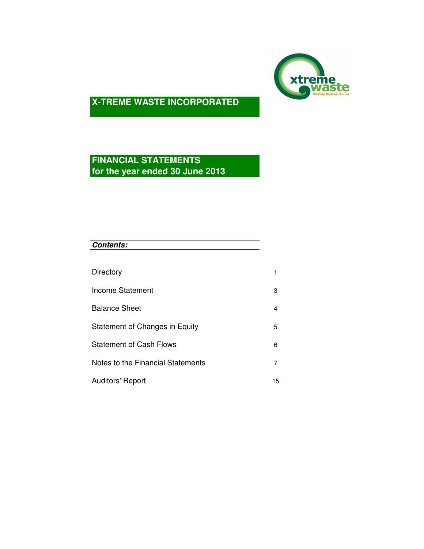

# **FINANCIAL STATEMENTS for the year ended 30 June 2013**

| <b>Contents:</b>                  |                |
|-----------------------------------|----------------|
|                                   |                |
| Directory                         | 1              |
| Income Statement                  | 3              |
| <b>Balance Sheet</b>              | 4              |
| Statement of Changes in Equity    | 5              |
| <b>Statement of Cash Flows</b>    | 6              |
| Notes to the Financial Statements | $\overline{7}$ |
| <b>Auditors' Report</b>           | 15             |
|                                   |                |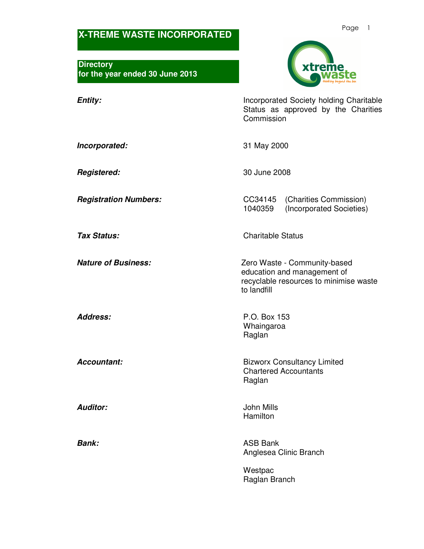**Directory for the year ended 30 June 2013** 



**Entity: Incorporated Society holding Charitable** Status as approved by the Charities **Commission** 

**Incorporated:** 31 May 2000

**Registered:** 30 June 2008

**Registration Numbers:** CC34145 (Charities Commission) 1040359 (Incorporated Societies)

**Tax Status:** Charitable Status

**Nature of Business: Nature of Business: Zero Waste - Community-based** education and management of recyclable resources to minimise waste to landfill

**Address:** P.O. Box 153 Whaingaroa Raglan

**Accountant: Bizworx Consultancy Limited** Chartered Accountants Raglan

**Auditor:** John Mills Hamilton

**Bank:** ASB Bank Anglesea Clinic Branch

> **Westpac** Raglan Branch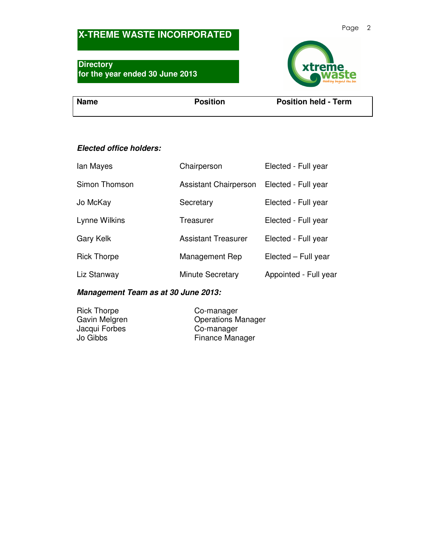## **Directory for the year ended 30 June 2013**



**Name** Position **Position** Position **Position Position Position Position** 

## **Elected office holders:**

| lan Mayes          | Chairperson                  | Elected - Full year   |
|--------------------|------------------------------|-----------------------|
| Simon Thomson      | <b>Assistant Chairperson</b> | Elected - Full year   |
| Jo McKay           | Secretary                    | Elected - Full year   |
| Lynne Wilkins      | Treasurer                    | Elected - Full year   |
| Gary Kelk          | <b>Assistant Treasurer</b>   | Elected - Full year   |
| <b>Rick Thorpe</b> | Management Rep               | Elected – Full year   |
| Liz Stanway        | <b>Minute Secretary</b>      | Appointed - Full year |

## **Management Team as at 30 June 2013:**

Rick Thorpe<br>
Gavin Melgren<br>
Co-manager<br>
Contains Monday Operations Manager<br>Co-manager Jacqui Forbes Jo Gibbs Finance Manager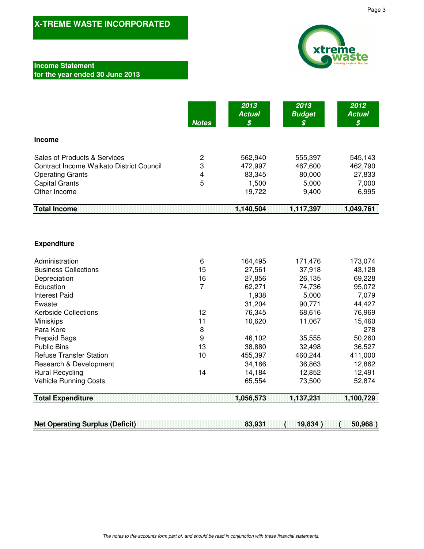### **Income Statement for the year ended 30 June 2013**

|                                          | <b>Notes</b> | 2013<br><b>Actual</b><br>\$ | 2013<br><b>Budget</b><br>$\boldsymbol{\mathcal{S}}$ | 2012<br><b>Actual</b><br>\$ |
|------------------------------------------|--------------|-----------------------------|-----------------------------------------------------|-----------------------------|
| <b>Income</b>                            |              |                             |                                                     |                             |
| Sales of Products & Services             | 2            | 562,940                     | 555,397                                             | 545,143                     |
| Contract Income Waikato District Council | 3            | 472,997                     | 467,600                                             | 462,790                     |
| <b>Operating Grants</b>                  | 4            | 83,345                      | 80,000                                              | 27,833                      |
| <b>Capital Grants</b>                    | 5            | 1.500                       | 5,000                                               | 7,000                       |
| Other Income                             |              | 19,722                      | 9,400                                               | 6,995                       |
| <b>Total Income</b>                      |              | 1,140,504                   | 1,117,397                                           | 1,049,761                   |

### **Expenditure**

| Administration                 | 6  | 164,495 | 171,476                  | 173,074 |
|--------------------------------|----|---------|--------------------------|---------|
| <b>Business Collections</b>    | 15 | 27,561  | 37,918                   | 43,128  |
| Depreciation                   | 16 | 27,856  | 26,135                   | 69,228  |
| Education                      | 7  | 62,271  | 74,736                   | 95,072  |
| <b>Interest Paid</b>           |    | 1,938   | 5,000                    | 7,079   |
| Ewaste                         |    | 31,204  | 90,771                   | 44,427  |
| <b>Kerbside Collections</b>    | 12 | 76,345  | 68,616                   | 76,969  |
| <b>Miniskips</b>               | 11 | 10,620  | 11,067                   | 15,460  |
| Para Kore                      | 8  |         | $\overline{\phantom{a}}$ | 278     |
| <b>Prepaid Bags</b>            | 9  | 46,102  | 35,555                   | 50,260  |
| <b>Public Bins</b>             | 13 | 38,880  | 32,498                   | 36,527  |
| <b>Refuse Transfer Station</b> | 10 | 455,397 | 460,244                  | 411,000 |
| Research & Development         |    | 34,166  | 36,863                   | 12,862  |
| <b>Rural Recycling</b>         | 14 | 14,184  | 12,852                   | 12,491  |
| <b>Vehicle Running Costs</b>   |    | 65,554  | 73,500                   | 52,874  |

**Total Expenditure 1,137,231 1,056,573 1,100,729** 

**Net Operating Surplus (Deficit) 83,931 ( 19,834 ) ( 50,968 )**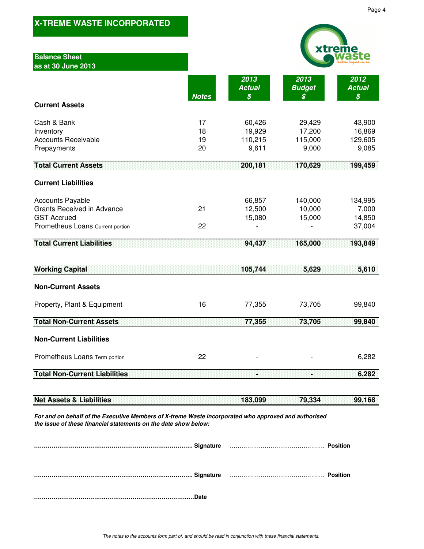| <b>Balance Sheet</b><br>as at 30 June 2013                                                                                                                              |                      |                                      |                                      |                                      |
|-------------------------------------------------------------------------------------------------------------------------------------------------------------------------|----------------------|--------------------------------------|--------------------------------------|--------------------------------------|
|                                                                                                                                                                         | <b>Notes</b>         | 2013<br><b>Actual</b><br>\$          | 2013<br><b>Budget</b><br>\$          | 2012<br><b>Actual</b><br>\$          |
| <b>Current Assets</b>                                                                                                                                                   |                      |                                      |                                      |                                      |
| Cash & Bank<br>Inventory<br><b>Accounts Receivable</b><br>Prepayments                                                                                                   | 17<br>18<br>19<br>20 | 60,426<br>19,929<br>110,215<br>9,611 | 29,429<br>17,200<br>115,000<br>9,000 | 43,900<br>16,869<br>129,605<br>9,085 |
| <b>Total Current Assets</b>                                                                                                                                             |                      | 200,181                              | 170,629                              | 199,459                              |
|                                                                                                                                                                         |                      |                                      |                                      |                                      |
| <b>Current Liabilities</b>                                                                                                                                              |                      |                                      |                                      |                                      |
| <b>Accounts Payable</b><br><b>Grants Received in Advance</b><br><b>GST Accrued</b><br>Prometheus Loans Current portion                                                  | 21<br>22             | 66,857<br>12,500<br>15,080           | 140,000<br>10,000<br>15,000          | 134,995<br>7,000<br>14,850<br>37,004 |
| <b>Total Current Liabilities</b>                                                                                                                                        |                      | 94,437                               | 165,000                              | 193,849                              |
|                                                                                                                                                                         |                      |                                      |                                      |                                      |
| <b>Working Capital</b>                                                                                                                                                  |                      | 105,744                              | 5,629                                | 5,610                                |
| <b>Non-Current Assets</b>                                                                                                                                               |                      |                                      |                                      |                                      |
| Property, Plant & Equipment                                                                                                                                             | 16                   | 77,355                               | 73,705                               | 99,840                               |
| <b>Total Non-Current Assets</b>                                                                                                                                         |                      | 77,355                               | 73,705                               | 99,840                               |
| <b>Non-Current Liabilities</b>                                                                                                                                          |                      |                                      |                                      |                                      |
| Prometheus Loans Term portion                                                                                                                                           | 22                   |                                      |                                      | 6,282                                |
| <b>Total Non-Current Liabilities</b>                                                                                                                                    |                      | W                                    |                                      | 6,282                                |
|                                                                                                                                                                         |                      |                                      |                                      |                                      |
| <b>Net Assets &amp; Liabilities</b>                                                                                                                                     |                      | 183,099                              | 79,334                               | 99,168                               |
| For and on behalf of the Executive Members of X-treme Waste Incorporated who approved and authorised<br>the issue of these financial statements on the date show below: |                      |                                      |                                      |                                      |
|                                                                                                                                                                         |                      |                                      |                                      |                                      |
|                                                                                                                                                                         |                      |                                      |                                      |                                      |

The notes to the accounts form part of, and should be read in conjunction with these financial statements.

**……………………………….…………………………………….…Date**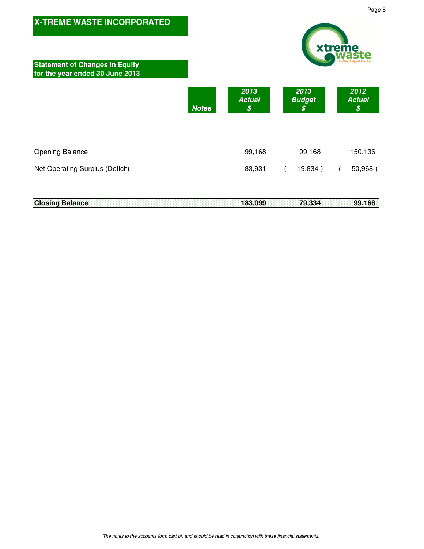

| <b>Closing Balance</b> |  |  |  |  |  |  |  |  |  |  |  |  |  |  |  |  |  |  |  |  |  |  |  |  |  |  |  | 183,099 |  |  |  |  |  | 79,334 |  |  |  |  |  |  | 99,168 |  |
|------------------------|--|--|--|--|--|--|--|--|--|--|--|--|--|--|--|--|--|--|--|--|--|--|--|--|--|--|--|---------|--|--|--|--|--|--------|--|--|--|--|--|--|--------|--|
|                        |  |  |  |  |  |  |  |  |  |  |  |  |  |  |  |  |  |  |  |  |  |  |  |  |  |  |  |         |  |  |  |  |  |        |  |  |  |  |  |  |        |  |
|                        |  |  |  |  |  |  |  |  |  |  |  |  |  |  |  |  |  |  |  |  |  |  |  |  |  |  |  |         |  |  |  |  |  |        |  |  |  |  |  |  |        |  |
|                        |  |  |  |  |  |  |  |  |  |  |  |  |  |  |  |  |  |  |  |  |  |  |  |  |  |  |  |         |  |  |  |  |  |        |  |  |  |  |  |  |        |  |
|                        |  |  |  |  |  |  |  |  |  |  |  |  |  |  |  |  |  |  |  |  |  |  |  |  |  |  |  |         |  |  |  |  |  |        |  |  |  |  |  |  |        |  |
|                        |  |  |  |  |  |  |  |  |  |  |  |  |  |  |  |  |  |  |  |  |  |  |  |  |  |  |  |         |  |  |  |  |  |        |  |  |  |  |  |  |        |  |
|                        |  |  |  |  |  |  |  |  |  |  |  |  |  |  |  |  |  |  |  |  |  |  |  |  |  |  |  |         |  |  |  |  |  |        |  |  |  |  |  |  |        |  |
|                        |  |  |  |  |  |  |  |  |  |  |  |  |  |  |  |  |  |  |  |  |  |  |  |  |  |  |  |         |  |  |  |  |  |        |  |  |  |  |  |  |        |  |
|                        |  |  |  |  |  |  |  |  |  |  |  |  |  |  |  |  |  |  |  |  |  |  |  |  |  |  |  |         |  |  |  |  |  |        |  |  |  |  |  |  |        |  |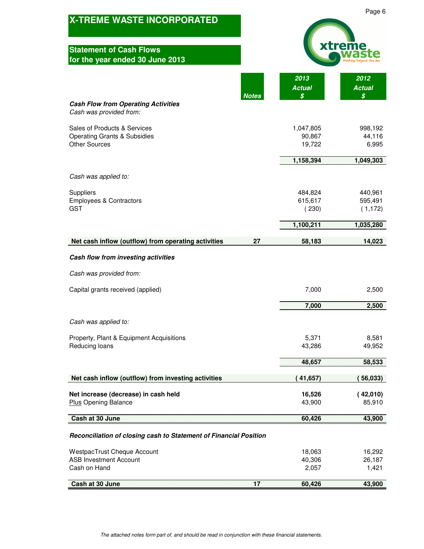| <b>X-TREME WASTE INCORPORATED</b>                                                               |                               | Page 6                         |
|-------------------------------------------------------------------------------------------------|-------------------------------|--------------------------------|
| <b>Statement of Cash Flows</b><br>for the year ended 30 June 2013                               |                               |                                |
| <b>Notes</b>                                                                                    | 2013<br><b>Actual</b><br>\$   | 2012<br><b>Actual</b><br>\$    |
| <b>Cash Flow from Operating Activities</b><br>Cash was provided from:                           |                               |                                |
| Sales of Products & Services<br><b>Operating Grants &amp; Subsidies</b><br><b>Other Sources</b> | 1,047,805<br>90,867<br>19,722 | 998,192<br>44,116<br>6,995     |
|                                                                                                 | 1,158,394                     | 1,049,303                      |
| Cash was applied to:                                                                            |                               |                                |
| Suppliers<br><b>Employees &amp; Contractors</b><br><b>GST</b>                                   | 484,824<br>615,617<br>(230)   | 440,961<br>595,491<br>(1, 172) |
|                                                                                                 | 1,100,211                     | 1,035,280                      |
| Net cash inflow (outflow) from operating activities<br>27                                       | 58,183                        | 14,023                         |
| Cash flow from investing activities                                                             |                               |                                |
| Cash was provided from:                                                                         |                               |                                |
| Capital grants received (applied)                                                               | 7,000                         | 2,500                          |
|                                                                                                 | 7,000                         | 2,500                          |
| Cash was applied to:                                                                            |                               |                                |
| Property, Plant & Equipment Acquisitions<br>Reducing loans                                      | 5,371<br>43,286               | 8,581<br>49,952                |
|                                                                                                 | 48,657                        | 58,533                         |
| Net cash inflow (outflow) from investing activities                                             | 41,657)                       | 56,033)                        |
| Net increase (decrease) in cash held<br><b>Plus Opening Balance</b>                             | 16,526<br>43,900              | (42,010)<br>85,910             |
| Cash at 30 June                                                                                 | 60,426                        | 43,900                         |
| Reconciliation of closing cash to Statement of Financial Position                               |                               |                                |
| <b>WestpacTrust Cheque Account</b>                                                              | 18,063                        | 16,292                         |
| <b>ASB Investment Account</b><br>Cash on Hand                                                   | 40,306<br>2,057               | 26,187<br>1,421                |
| 57<br>Cash at 30 June                                                                           | 60,426                        | 43,900                         |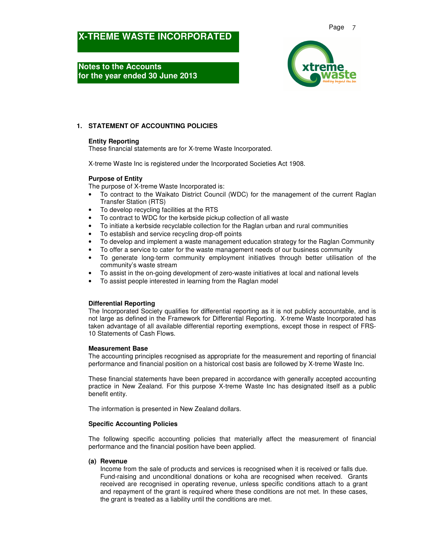**Notes to the Accounts for the year ended 30 June 2013** 



### **1. STATEMENT OF ACCOUNTING POLICIES**

#### **Entity Reporting**

These financial statements are for X-treme Waste Incorporated.

X-treme Waste Inc is registered under the Incorporated Societies Act 1908.

#### **Purpose of Entity**

The purpose of X-treme Waste Incorporated is:

- To contract to the Waikato District Council (WDC) for the management of the current Raglan Transfer Station (RTS)
- To develop recycling facilities at the RTS
- To contract to WDC for the kerbside pickup collection of all waste
- To initiate a kerbside recyclable collection for the Raglan urban and rural communities
- To establish and service recycling drop-off points
- To develop and implement a waste management education strategy for the Raglan Community
- To offer a service to cater for the waste management needs of our business community
- To generate long-term community employment initiatives through better utilisation of the community's waste stream
- To assist in the on-going development of zero-waste initiatives at local and national levels
- To assist people interested in learning from the Raglan model

#### **Differential Reporting**

The Incorporated Society qualifies for differential reporting as it is not publicly accountable, and is not large as defined in the Framework for Differential Reporting. X-treme Waste Incorporated has taken advantage of all available differential reporting exemptions, except those in respect of FRS-10 Statements of Cash Flows.

#### **Measurement Base**

The accounting principles recognised as appropriate for the measurement and reporting of financial performance and financial position on a historical cost basis are followed by X-treme Waste Inc.

These financial statements have been prepared in accordance with generally accepted accounting practice in New Zealand. For this purpose X-treme Waste Inc has designated itself as a public benefit entity.

The information is presented in New Zealand dollars.

#### **Specific Accounting Policies**

The following specific accounting policies that materially affect the measurement of financial performance and the financial position have been applied.

#### **(a) Revenue**

Income from the sale of products and services is recognised when it is received or falls due. Fund-raising and unconditional donations or koha are recognised when received. Grants received are recognised in operating revenue, unless specific conditions attach to a grant and repayment of the grant is required where these conditions are not met. In these cases, the grant is treated as a liability until the conditions are met.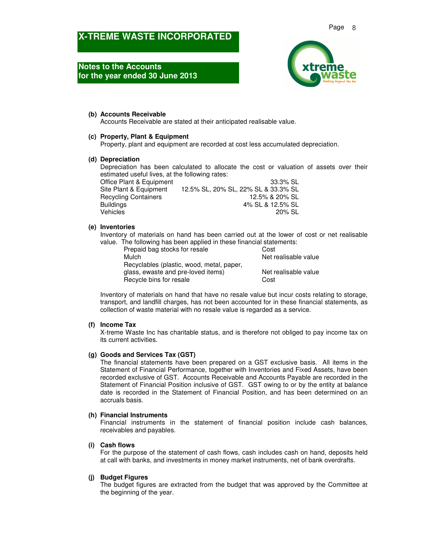### **Notes to the Accounts for the year ended 30 June 2013**



#### **(b) Accounts Receivable**

Accounts Receivable are stated at their anticipated realisable value.

#### **(c) Property, Plant & Equipment**

Property, plant and equipment are recorded at cost less accumulated depreciation.

#### **(d) Depreciation**

Depreciation has been calculated to allocate the cost or valuation of assets over their estimated useful lives, at the following rates:

| 33.3% SL                            |
|-------------------------------------|
| 12.5% SL, 20% SL, 22% SL & 33.3% SL |
| 12.5% & 20% SL                      |
| 4% SL & 12.5% SL                    |
| 20% SL                              |
|                                     |

#### **(e) Inventories**

Inventory of materials on hand has been carried out at the lower of cost or net realisable value. The following has been applied in these financial statements:

| Prepaid bag stocks for resale             | Cost                 |
|-------------------------------------------|----------------------|
| Mulch                                     | Net realisable value |
| Recyclables (plastic, wood, metal, paper, |                      |
| glass, ewaste and pre-loved items)        | Net realisable value |
| Recycle bins for resale                   | Cost                 |

Inventory of materials on hand that have no resale value but incur costs relating to storage, transport, and landfill charges, has not been accounted for in these financial statements, as collection of waste material with no resale value is regarded as a service.

#### **(f) Income Tax**

X-treme Waste Inc has charitable status, and is therefore not obliged to pay income tax on its current activities.

#### **(g) Goods and Services Tax (GST)**

The financial statements have been prepared on a GST exclusive basis. All items in the Statement of Financial Performance, together with Inventories and Fixed Assets, have been recorded exclusive of GST. Accounts Receivable and Accounts Payable are recorded in the Statement of Financial Position inclusive of GST. GST owing to or by the entity at balance date is recorded in the Statement of Financial Position, and has been determined on an accruals basis.

#### **(h) Financial Instruments**

Financial instruments in the statement of financial position include cash balances, receivables and payables.

#### **(i) Cash flows**

For the purpose of the statement of cash flows, cash includes cash on hand, deposits held at call with banks, and investments in money market instruments, net of bank overdrafts.

#### **(j) Budget Figures**

The budget figures are extracted from the budget that was approved by the Committee at the beginning of the year.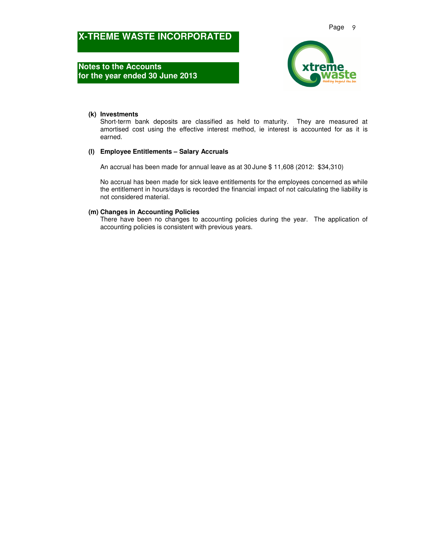**Notes to the Accounts for the year ended 30 June 2013** 



#### **(k) Investments**

Short-term bank deposits are classified as held to maturity. They are measured at amortised cost using the effective interest method, ie interest is accounted for as it is earned.

#### **(l) Employee Entitlements – Salary Accruals**

An accrual has been made for annual leave as at 30 June \$ 11,608 (2012: \$34,310)

No accrual has been made for sick leave entitlements for the employees concerned as while the entitlement in hours/days is recorded the financial impact of not calculating the liability is not considered material.

#### **(m) Changes in Accounting Policies**

There have been no changes to accounting policies during the year. The application of accounting policies is consistent with previous years.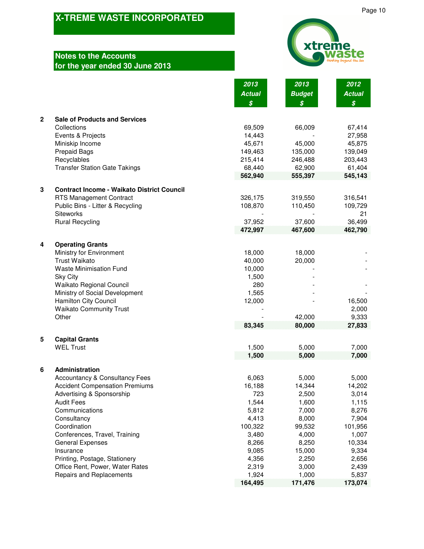## **Notes** for th

|              | <b>Notes to the Accounts</b>                        |                            | xtreme           |                            |
|--------------|-----------------------------------------------------|----------------------------|------------------|----------------------------|
|              | for the year ended 30 June 2013                     |                            |                  |                            |
|              |                                                     | 2013                       | 2013             | 2012                       |
|              |                                                     | <b>Actual</b>              | <b>Budget</b>    | <b>Actual</b>              |
|              |                                                     | $\boldsymbol{\mathcal{S}}$ | $\boldsymbol{s}$ | $\boldsymbol{\mathcal{S}}$ |
| $\mathbf{2}$ | <b>Sale of Products and Services</b><br>Collections | 69,509                     | 66,009           | 67,414                     |
|              | Events & Projects                                   | 14,443                     |                  | 27,958                     |
|              | Miniskip Income                                     | 45,671                     | 45,000           | 45,875                     |
|              | <b>Prepaid Bags</b>                                 | 149,463                    | 135,000          | 139,049                    |
|              | Recyclables                                         | 215,414                    | 246,488          | 203,443                    |
|              | <b>Transfer Station Gate Takings</b>                | 68,440                     | 62,900           | 61,404                     |
|              |                                                     | 562,940                    | 555,397          | 545,143                    |
| 3            | <b>Contract Income - Waikato District Council</b>   |                            |                  |                            |
|              | <b>RTS Management Contract</b>                      | 326,175                    | 319,550          | 316,541                    |
|              | Public Bins - Litter & Recycling<br>Siteworks       | 108,870                    | 110,450          | 109,729<br>21              |
|              | <b>Rural Recycling</b>                              | 37,952                     | 37,600           | 36,499                     |
|              |                                                     | 472,997                    | 467,600          | 462,790                    |
|              |                                                     |                            |                  |                            |
| 4            | <b>Operating Grants</b>                             |                            |                  |                            |
|              | Ministry for Environment                            | 18,000                     | 18,000           |                            |
|              | <b>Trust Waikato</b>                                | 40,000                     | 20,000           |                            |
|              | <b>Waste Minimisation Fund</b><br><b>Sky City</b>   | 10,000<br>1,500            |                  |                            |
|              | Waikato Regional Council                            | 280                        |                  |                            |
|              | Ministry of Social Development                      | 1,565                      |                  |                            |
|              | <b>Hamilton City Council</b>                        | 12,000                     |                  | 16,500                     |
|              | <b>Waikato Community Trust</b>                      |                            |                  | 2,000                      |
|              | Other                                               |                            | 42,000           | 9,333                      |
|              |                                                     | 83,345                     | 80,000           | 27,833                     |
| 5            | <b>Capital Grants</b>                               |                            |                  |                            |
|              | <b>WEL Trust</b>                                    | 1,500<br>1,500             | 5,000<br>5,000   | 7,000<br>7,000             |
|              |                                                     |                            |                  |                            |
| 6            | Administration                                      |                            |                  |                            |
|              | <b>Accountancy &amp; Consultancy Fees</b>           | 6,063                      | 5,000            | 5,000                      |
|              | <b>Accident Compensation Premiums</b>               | 16,188                     | 14,344           | 14,202                     |
|              | Advertising & Sponsorship<br><b>Audit Fees</b>      | 723<br>1,544               | 2,500<br>1,600   | 3,014<br>1,115             |
|              | Communications                                      | 5,812                      | 7,000            | 8,276                      |
|              | Consultancy                                         | 4,413                      | 8,000            | 7,904                      |
|              | Coordination                                        | 100,322                    | 99,532           | 101,956                    |
|              | Conferences, Travel, Training                       | 3,480                      | 4,000            | 1,007                      |
|              | <b>General Expenses</b>                             | 8,266                      | 8,250            | 10,334                     |
|              | Insurance                                           | 9,085                      | 15,000           | 9,334                      |
|              | Printing, Postage, Stationery                       | 4,356                      | 2,250            | 2,656                      |
|              | Office Rent, Power, Water Rates                     | 2,319                      | 3,000            | 2,439                      |
|              | Repairs and Replacements                            | 1,924                      | 1,000            | 5,837                      |
|              |                                                     | 164,495                    | 171,476          | 173,074                    |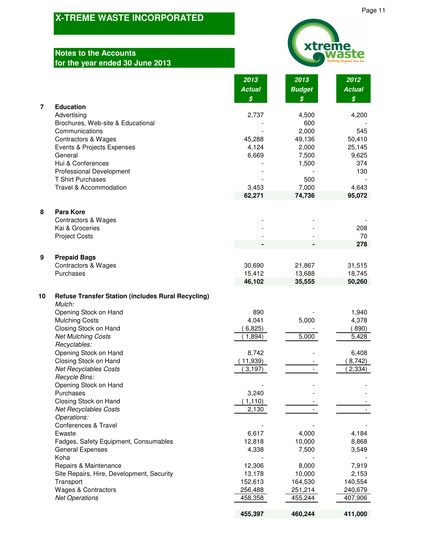# **Notes to the Accounts for the year ended 30 June 2013**

| <b>xtreme</b> |                                  |
|---------------|----------------------------------|
|               | waste<br>thinking beyond the bin |

|    |                                                                    | 2013                       | 2013            | 2012                       |
|----|--------------------------------------------------------------------|----------------------------|-----------------|----------------------------|
|    |                                                                    | <b>Actual</b>              | <b>Budget</b>   | <b>Actual</b>              |
|    |                                                                    | $\boldsymbol{\mathcal{S}}$ | \$              | $\boldsymbol{\mathcal{S}}$ |
| 7  | <b>Education</b>                                                   |                            |                 |                            |
|    | Advertising                                                        | 2,737                      | 4,500           | 4,200                      |
|    | Brochures, Web-site & Educational                                  |                            | 600             |                            |
|    | Communications                                                     |                            | 2,000           | 545                        |
|    | <b>Contractors &amp; Wages</b>                                     | 45,288                     | 49,136          | 50,410                     |
|    | Events & Projects Expenses                                         | 4,124                      | 2,000           | 25,145                     |
|    | General                                                            | 6,669                      | 7,500           | 9,625                      |
|    | Hui & Conferences<br><b>Professional Development</b>               |                            | 1,500           | 374<br>130                 |
|    | <b>T Shirt Purchases</b>                                           |                            | 500             |                            |
|    | Travel & Accommodation                                             | 3,453                      | 7,000           | 4,643                      |
|    |                                                                    | 62,271                     | 74,736          | 95,072                     |
| 8  | <b>Para Kore</b>                                                   |                            |                 |                            |
|    | <b>Contractors &amp; Wages</b>                                     |                            |                 |                            |
|    | Kai & Groceries                                                    |                            |                 | 208                        |
|    | <b>Project Costs</b>                                               |                            |                 | 70                         |
|    |                                                                    |                            |                 | 278                        |
| 9  | <b>Prepaid Bags</b>                                                |                            |                 |                            |
|    | Contractors & Wages                                                | 30,690                     | 21,867          | 31,515                     |
|    | Purchases                                                          | 15,412                     | 13,688          | 18,745                     |
|    |                                                                    | 46,102                     | 35,555          | 50,260                     |
| 10 | <b>Refuse Transfer Station (includes Rural Recycling)</b>          |                            |                 |                            |
|    | Mulch:                                                             |                            |                 |                            |
|    | Opening Stock on Hand                                              | 890                        |                 | 1,940                      |
|    | <b>Mulching Costs</b>                                              | 4,041                      | 5,000           | 4,378                      |
|    | Closing Stock on Hand                                              | 6,825)                     |                 | 890)                       |
|    | <b>Net Mulching Costs</b>                                          | 1,894)                     | 5,000           | 5,428                      |
|    | Recyclables:<br>Opening Stock on Hand                              |                            |                 |                            |
|    | Closing Stock on Hand                                              | 8,742<br>(11,939)          |                 | 6,408<br>8,742)            |
|    | <b>Net Recyclables Costs</b>                                       | 3,197                      |                 | 2,334)                     |
|    | Recycle Bins:                                                      |                            |                 |                            |
|    | Opening Stock on Hand                                              |                            |                 |                            |
|    | Purchases                                                          | 3,240                      |                 |                            |
|    | Closing Stock on Hand                                              | (1, 110)                   |                 |                            |
|    | <b>Net Recyclables Costs</b>                                       | 2,130                      |                 |                            |
|    | Operations:                                                        |                            |                 |                            |
|    | Conferences & Travel                                               |                            |                 |                            |
|    | Ewaste                                                             | 6,617                      | 4,000           | 4,184                      |
|    | Fadges, Safety Equipment, Consumables                              | 12,818                     | 10,000          | 8,868                      |
|    | <b>General Expenses</b>                                            | 4,338                      | 7,500           | 3,549                      |
|    | Koha                                                               |                            |                 |                            |
|    | Repairs & Maintenance<br>Site Repairs, Hire, Development, Security | 12,306<br>13,178           | 8,000<br>10,000 | 7,919<br>2,153             |
|    | Transport                                                          | 152,613                    | 164,530         | 140,554                    |
|    | Wages & Contractors                                                | 256,488                    | 251,214         | 240,679                    |
|    | <b>Net Operations</b>                                              | 458,358                    | 455,244         | 407,906                    |
|    |                                                                    |                            |                 |                            |

 **460,244 455,397 411,000**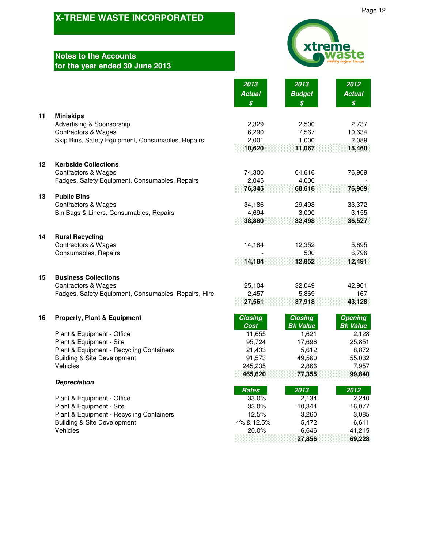# **Notes to the Accounts for the year ended 30 June 2013**



**27,856 69,228**

Page 12

|    |                                                      | 2013<br><b>Actual</b><br>$\boldsymbol{\mathcal{S}}$ | 2013<br><b>Budget</b><br>$\boldsymbol{\mathcal{S}}$ | 2012<br><b>Actual</b><br>$\boldsymbol{\mathcal{S}}$ |
|----|------------------------------------------------------|-----------------------------------------------------|-----------------------------------------------------|-----------------------------------------------------|
| 11 | <b>Miniskips</b>                                     |                                                     |                                                     |                                                     |
|    | Advertising & Sponsorship                            | 2,329                                               | 2,500                                               | 2,737                                               |
|    | <b>Contractors &amp; Wages</b>                       | 6,290                                               | 7,567                                               | 10,634                                              |
|    | Skip Bins, Safety Equipment, Consumables, Repairs    | 2,001                                               | 1,000                                               | 2,089                                               |
|    |                                                      | 10,620                                              | 11,067                                              | 15,460                                              |
| 12 | <b>Kerbside Collections</b>                          |                                                     |                                                     |                                                     |
|    | <b>Contractors &amp; Wages</b>                       | 74,300                                              | 64,616                                              | 76,969                                              |
|    | Fadges, Safety Equipment, Consumables, Repairs       | 2,045                                               | 4,000                                               |                                                     |
|    |                                                      | 76,345                                              | 68,616                                              | 76,969                                              |
| 13 | <b>Public Bins</b>                                   |                                                     |                                                     |                                                     |
|    | <b>Contractors &amp; Wages</b>                       | 34,186                                              | 29,498                                              | 33,372                                              |
|    | Bin Bags & Liners, Consumables, Repairs              | 4,694                                               | 3,000                                               | 3,155                                               |
|    |                                                      | 38,880                                              | 32,498                                              | 36,527                                              |
| 14 | <b>Rural Recycling</b>                               |                                                     |                                                     |                                                     |
|    | <b>Contractors &amp; Wages</b>                       | 14,184                                              | 12,352                                              | 5,695                                               |
|    | Consumables, Repairs                                 |                                                     | 500                                                 | 6,796                                               |
|    |                                                      | 14,184                                              | 12,852                                              | 12,491                                              |
| 15 | <b>Business Collections</b>                          |                                                     |                                                     |                                                     |
|    | <b>Contractors &amp; Wages</b>                       | 25,104                                              | 32,049                                              | 42,961                                              |
|    | Fadges, Safety Equipment, Consumables, Repairs, Hire | 2,457                                               | 5,869                                               | 167                                                 |
|    |                                                      | 27,561                                              | 37,918                                              | 43,128                                              |
| 16 | <b>Property, Plant &amp; Equipment</b>               | <b>Closing</b>                                      | <b>Closing</b>                                      | <b>Opening</b>                                      |
|    |                                                      | <b>Cost</b>                                         | <b>Bk Value</b>                                     | <b>Bk Value</b>                                     |
|    | Plant & Equipment - Office                           | 11,655                                              | 1,621                                               | 2,128                                               |
|    | Plant & Equipment - Site                             | 95,724                                              | 17,696                                              | 25,851                                              |
|    | Plant & Equipment - Recycling Containers             | 21,433                                              | 5,612                                               | 8,872                                               |
|    | <b>Building &amp; Site Development</b>               | 91,573                                              | 49,560                                              | 55,032                                              |
|    | Vehicles                                             | 245,235<br>465,620                                  | 2,866<br>77,355                                     | 7,957<br>99,840                                     |
|    | <b>Depreciation</b>                                  |                                                     |                                                     |                                                     |
|    |                                                      | <b>Rates</b>                                        | 2013                                                | 2012                                                |
|    | Plant & Equipment - Office                           | 33.0%                                               | 2,134                                               | 2,240                                               |
|    | Plant & Equipment - Site                             | 33.0%                                               | 10,344                                              | 16,077                                              |
|    | Plant & Equipment - Recycling Containers             | 12.5%                                               | 3,260                                               | 3,085                                               |
|    | <b>Building &amp; Site Development</b>               | 4% & 12.5%                                          | 5,472                                               | 6,611                                               |
|    | Vehicles                                             | 20.0%                                               | 6,646                                               | 41,215                                              |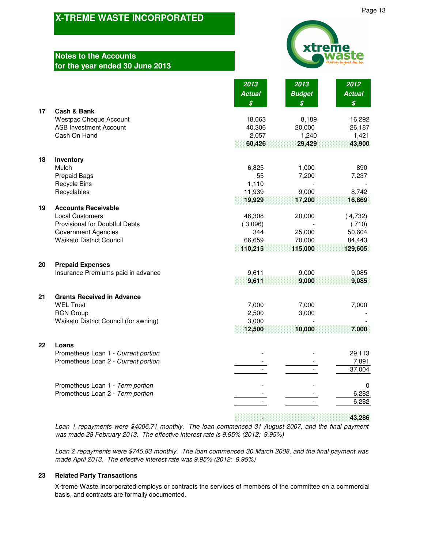# **Notes to the Accounts for the year ended 30 June 2013**

| xtreme<br>waste<br>thinking beyond the bin |
|--------------------------------------------|

|    |                                                       | 2013          | 2013             | 2012             |
|----|-------------------------------------------------------|---------------|------------------|------------------|
|    |                                                       | <b>Actual</b> | <b>Budget</b>    | <b>Actual</b>    |
|    |                                                       | \$            | $\boldsymbol{s}$ | $\boldsymbol{s}$ |
| 17 | Cash & Bank                                           |               |                  |                  |
|    | <b>Westpac Cheque Account</b>                         | 18,063        | 8,189            | 16,292           |
|    | <b>ASB Investment Account</b>                         | 40,306        | 20,000           | 26,187           |
|    | Cash On Hand                                          | 2,057         | 1,240            | 1,421            |
|    |                                                       | 60,426        | 29,429           | 43,900           |
| 18 | Inventory                                             |               |                  |                  |
|    | Mulch                                                 | 6,825         | 1,000            | 890              |
|    | <b>Prepaid Bags</b>                                   | 55            | 7,200            | 7,237            |
|    | <b>Recycle Bins</b>                                   | 1,110         |                  |                  |
|    | Recyclables                                           | 11,939        | 9,000            | 8,742            |
|    |                                                       | 19,929        | 17,200           | 16,869           |
| 19 | <b>Accounts Receivable</b>                            |               |                  |                  |
|    | <b>Local Customers</b>                                | 46,308        | 20,000           | (4,732)          |
|    | Provisional for Doubtful Debts                        | (3,096)       |                  | (710)            |
|    | <b>Government Agencies</b>                            | 344           | 25,000           | 50,604           |
|    | <b>Waikato District Council</b>                       | 66,659        | 70,000           | 84,443           |
|    |                                                       | 110,215       | 115,000          | 129,605          |
| 20 | <b>Prepaid Expenses</b>                               |               |                  |                  |
|    | Insurance Premiums paid in advance                    | 9,611         | 9,000            | 9,085            |
|    |                                                       | 9,611         | 9,000            | 9,085            |
|    |                                                       |               |                  |                  |
| 21 | <b>Grants Received in Advance</b><br><b>WEL Trust</b> | 7,000         | 7,000            | 7,000            |
|    | <b>RCN Group</b>                                      | 2,500         | 3,000            |                  |
|    | Waikato District Council (for awning)                 | 3,000         |                  |                  |
|    |                                                       | 12,500        | 10,000           | 7,000            |
|    |                                                       |               |                  |                  |
| 22 | Loans                                                 |               |                  |                  |
|    | Prometheus Loan 1 - Current portion                   |               |                  | 29,113           |
|    | Prometheus Loan 2 - Current portion                   |               |                  | 7,891            |
|    |                                                       |               |                  | 37,004           |
|    | Prometheus Loan 1 - Term portion                      |               |                  | $\Omega$         |
|    | Prometheus Loan 2 - Term portion                      |               |                  | 6,282            |
|    |                                                       |               |                  | 6,282            |
|    |                                                       |               |                  |                  |

 **- - 43,286**

*Loan 1 repayments were \$4006.71 monthly. The loan commenced 31 August 2007, and the final payment was made 28 February 2013. The effective interest rate is 9.95% (2012: 9.95%)*

*Loan 2 repayments were \$745.83 monthly. The loan commenced 30 March 2008, and the final payment was made April 2013. The effective interest rate was 9.95% (2012: 9.95%)*

#### **23 Related Party Transactions**

X-treme Waste Incorporated employs or contracts the services of members of the committee on a commercial basis, and contracts are formally documented.